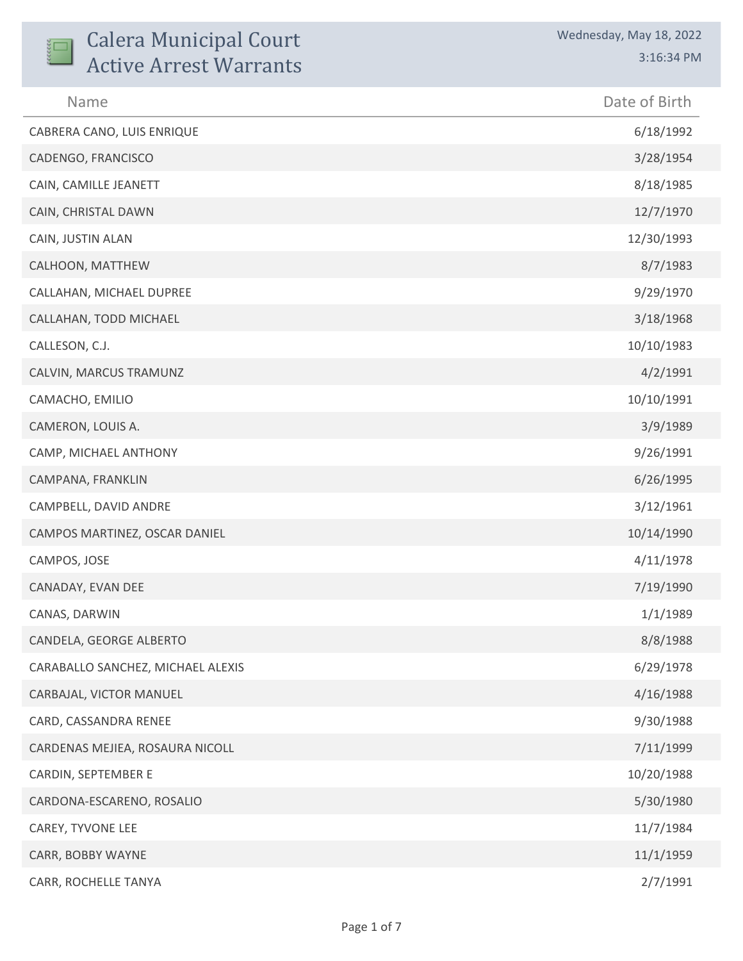| <b>Calera Municipal Court</b><br><b>Active Arrest Warrants</b> | Wednesday, May 18, 2022<br>3:16:34 PM |
|----------------------------------------------------------------|---------------------------------------|
| Name                                                           | Date of Birth                         |
| CABRERA CANO, LUIS ENRIQUE                                     | 6/18/1992                             |
| CADENGO, FRANCISCO                                             | 3/28/1954                             |
| CAIN, CAMILLE JEANETT                                          | 8/18/1985                             |
| CAIN, CHRISTAL DAWN                                            | 12/7/1970                             |
| CAIN, JUSTIN ALAN                                              | 12/30/1993                            |
| CALHOON, MATTHEW                                               | 8/7/1983                              |
| CALLAHAN, MICHAEL DUPREE                                       | 9/29/1970                             |
| CALLAHAN, TODD MICHAEL                                         | 3/18/1968                             |
| CALLESON, C.J.                                                 | 10/10/1983                            |
| CALVIN, MARCUS TRAMUNZ                                         | 4/2/1991                              |
| CAMACHO, EMILIO                                                | 10/10/1991                            |
| CAMERON, LOUIS A.                                              | 3/9/1989                              |
| CAMP, MICHAEL ANTHONY                                          | 9/26/1991                             |
| CAMPANA, FRANKLIN                                              | 6/26/1995                             |
| CAMPBELL, DAVID ANDRE                                          | 3/12/1961                             |
| CAMPOS MARTINEZ, OSCAR DANIEL                                  | 10/14/1990                            |
| CAMPOS, JOSE                                                   | 4/11/1978                             |
| CANADAY, EVAN DEE                                              | 7/19/1990                             |
| CANAS, DARWIN                                                  | 1/1/1989                              |
| CANDELA, GEORGE ALBERTO                                        | 8/8/1988                              |
| CARABALLO SANCHEZ, MICHAEL ALEXIS                              | 6/29/1978                             |
| CARBAJAL, VICTOR MANUEL                                        | 4/16/1988                             |
| CARD, CASSANDRA RENEE                                          | 9/30/1988                             |
| CARDENAS MEJIEA, ROSAURA NICOLL                                | 7/11/1999                             |
| CARDIN, SEPTEMBER E                                            | 10/20/1988                            |
| CARDONA-ESCARENO, ROSALIO                                      | 5/30/1980                             |
| CAREY, TYVONE LEE                                              | 11/7/1984                             |
| CARR, BOBBY WAYNE                                              | 11/1/1959                             |
| CARR, ROCHELLE TANYA                                           | 2/7/1991                              |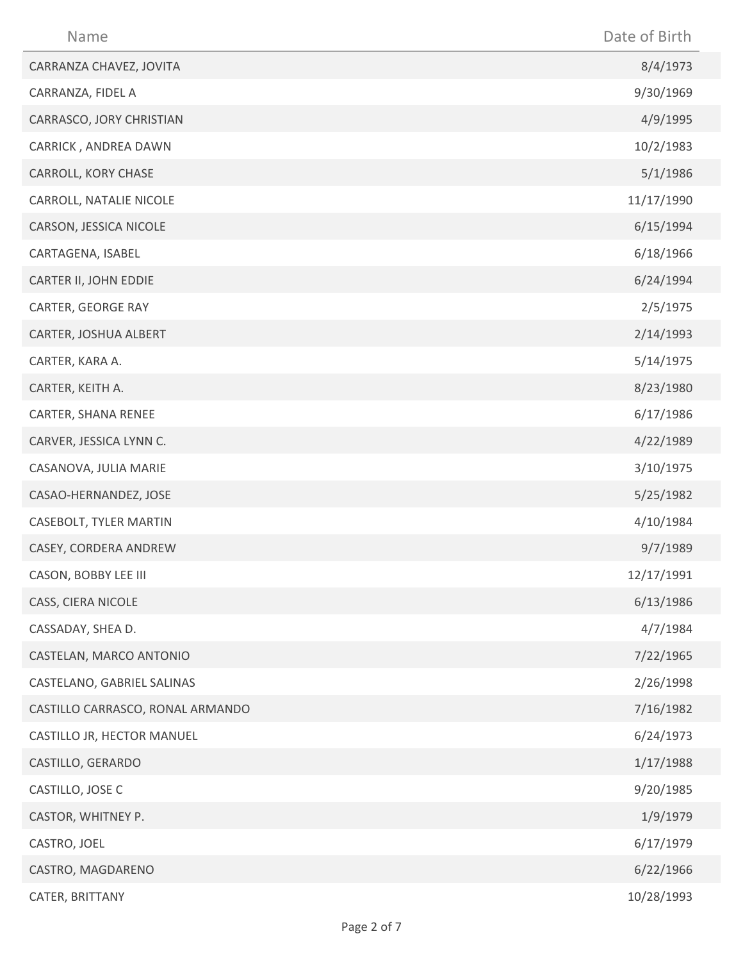| Name                             | Date of Birth |
|----------------------------------|---------------|
| CARRANZA CHAVEZ, JOVITA          | 8/4/1973      |
| CARRANZA, FIDEL A                | 9/30/1969     |
| CARRASCO, JORY CHRISTIAN         | 4/9/1995      |
| CARRICK, ANDREA DAWN             | 10/2/1983     |
| CARROLL, KORY CHASE              | 5/1/1986      |
| CARROLL, NATALIE NICOLE          | 11/17/1990    |
| CARSON, JESSICA NICOLE           | 6/15/1994     |
| CARTAGENA, ISABEL                | 6/18/1966     |
| CARTER II, JOHN EDDIE            | 6/24/1994     |
| CARTER, GEORGE RAY               | 2/5/1975      |
| CARTER, JOSHUA ALBERT            | 2/14/1993     |
| CARTER, KARA A.                  | 5/14/1975     |
| CARTER, KEITH A.                 | 8/23/1980     |
| CARTER, SHANA RENEE              | 6/17/1986     |
| CARVER, JESSICA LYNN C.          | 4/22/1989     |
| CASANOVA, JULIA MARIE            | 3/10/1975     |
| CASAO-HERNANDEZ, JOSE            | 5/25/1982     |
| CASEBOLT, TYLER MARTIN           | 4/10/1984     |
| CASEY, CORDERA ANDREW            | 9/7/1989      |
| CASON, BOBBY LEE III             | 12/17/1991    |
| CASS, CIERA NICOLE               | 6/13/1986     |
| CASSADAY, SHEA D.                | 4/7/1984      |
| CASTELAN, MARCO ANTONIO          | 7/22/1965     |
| CASTELANO, GABRIEL SALINAS       | 2/26/1998     |
| CASTILLO CARRASCO, RONAL ARMANDO | 7/16/1982     |
| CASTILLO JR, HECTOR MANUEL       | 6/24/1973     |
| CASTILLO, GERARDO                | 1/17/1988     |
| CASTILLO, JOSE C                 | 9/20/1985     |
| CASTOR, WHITNEY P.               | 1/9/1979      |
| CASTRO, JOEL                     | 6/17/1979     |
| CASTRO, MAGDARENO                | 6/22/1966     |
| CATER, BRITTANY                  | 10/28/1993    |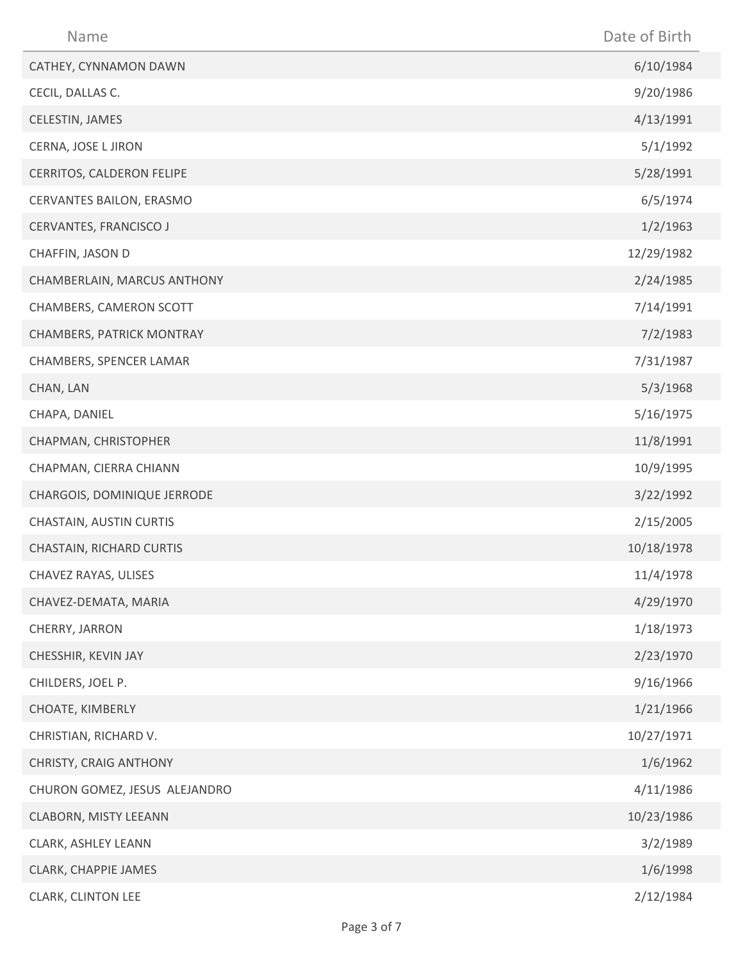| Name                          | Date of Birth |
|-------------------------------|---------------|
| CATHEY, CYNNAMON DAWN         | 6/10/1984     |
| CECIL, DALLAS C.              | 9/20/1986     |
| CELESTIN, JAMES               | 4/13/1991     |
| CERNA, JOSE L JIRON           | 5/1/1992      |
| CERRITOS, CALDERON FELIPE     | 5/28/1991     |
| CERVANTES BAILON, ERASMO      | 6/5/1974      |
| CERVANTES, FRANCISCO J        | 1/2/1963      |
| CHAFFIN, JASON D              | 12/29/1982    |
| CHAMBERLAIN, MARCUS ANTHONY   | 2/24/1985     |
| CHAMBERS, CAMERON SCOTT       | 7/14/1991     |
| CHAMBERS, PATRICK MONTRAY     | 7/2/1983      |
| CHAMBERS, SPENCER LAMAR       | 7/31/1987     |
| CHAN, LAN                     | 5/3/1968      |
| CHAPA, DANIEL                 | 5/16/1975     |
| CHAPMAN, CHRISTOPHER          | 11/8/1991     |
| CHAPMAN, CIERRA CHIANN        | 10/9/1995     |
| CHARGOIS, DOMINIQUE JERRODE   | 3/22/1992     |
| CHASTAIN, AUSTIN CURTIS       | 2/15/2005     |
| CHASTAIN, RICHARD CURTIS      | 10/18/1978    |
| CHAVEZ RAYAS, ULISES          | 11/4/1978     |
| CHAVEZ-DEMATA, MARIA          | 4/29/1970     |
| CHERRY, JARRON                | 1/18/1973     |
| CHESSHIR, KEVIN JAY           | 2/23/1970     |
| CHILDERS, JOEL P.             | 9/16/1966     |
| CHOATE, KIMBERLY              | 1/21/1966     |
| CHRISTIAN, RICHARD V.         | 10/27/1971    |
| CHRISTY, CRAIG ANTHONY        | 1/6/1962      |
| CHURON GOMEZ, JESUS ALEJANDRO | 4/11/1986     |
| CLABORN, MISTY LEEANN         | 10/23/1986    |
| CLARK, ASHLEY LEANN           | 3/2/1989      |
| CLARK, CHAPPIE JAMES          | 1/6/1998      |
| CLARK, CLINTON LEE            | 2/12/1984     |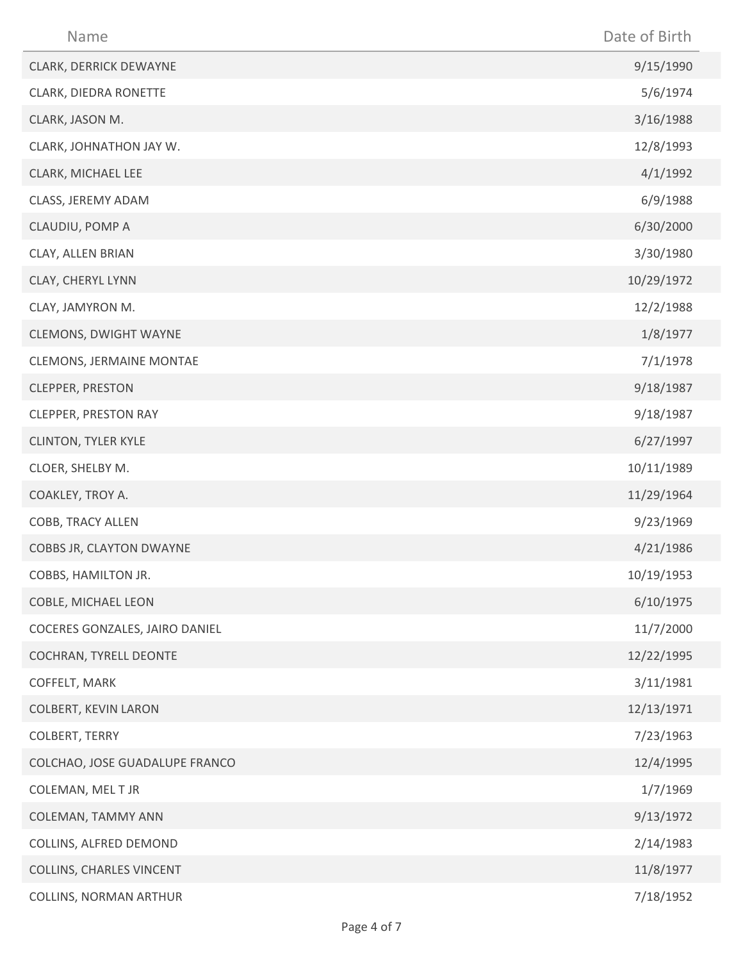| Name                            | Date of Birth |
|---------------------------------|---------------|
| CLARK, DERRICK DEWAYNE          | 9/15/1990     |
| CLARK, DIEDRA RONETTE           | 5/6/1974      |
| CLARK, JASON M.                 | 3/16/1988     |
| CLARK, JOHNATHON JAY W.         | 12/8/1993     |
| CLARK, MICHAEL LEE              | 4/1/1992      |
| CLASS, JEREMY ADAM              | 6/9/1988      |
| CLAUDIU, POMP A                 | 6/30/2000     |
| CLAY, ALLEN BRIAN               | 3/30/1980     |
| CLAY, CHERYL LYNN               | 10/29/1972    |
| CLAY, JAMYRON M.                | 12/2/1988     |
| CLEMONS, DWIGHT WAYNE           | 1/8/1977      |
| CLEMONS, JERMAINE MONTAE        | 7/1/1978      |
| <b>CLEPPER, PRESTON</b>         | 9/18/1987     |
| <b>CLEPPER, PRESTON RAY</b>     | 9/18/1987     |
| <b>CLINTON, TYLER KYLE</b>      | 6/27/1997     |
| CLOER, SHELBY M.                | 10/11/1989    |
| COAKLEY, TROY A.                | 11/29/1964    |
| COBB, TRACY ALLEN               | 9/23/1969     |
| COBBS JR, CLAYTON DWAYNE        | 4/21/1986     |
| COBBS, HAMILTON JR.             | 10/19/1953    |
| COBLE, MICHAEL LEON             | 6/10/1975     |
| COCERES GONZALES, JAIRO DANIEL  | 11/7/2000     |
| COCHRAN, TYRELL DEONTE          | 12/22/1995    |
| COFFELT, MARK                   | 3/11/1981     |
| <b>COLBERT, KEVIN LARON</b>     | 12/13/1971    |
| COLBERT, TERRY                  | 7/23/1963     |
| COLCHAO, JOSE GUADALUPE FRANCO  | 12/4/1995     |
| COLEMAN, MEL T JR               | 1/7/1969      |
| COLEMAN, TAMMY ANN              | 9/13/1972     |
| COLLINS, ALFRED DEMOND          | 2/14/1983     |
| <b>COLLINS, CHARLES VINCENT</b> | 11/8/1977     |
| <b>COLLINS, NORMAN ARTHUR</b>   | 7/18/1952     |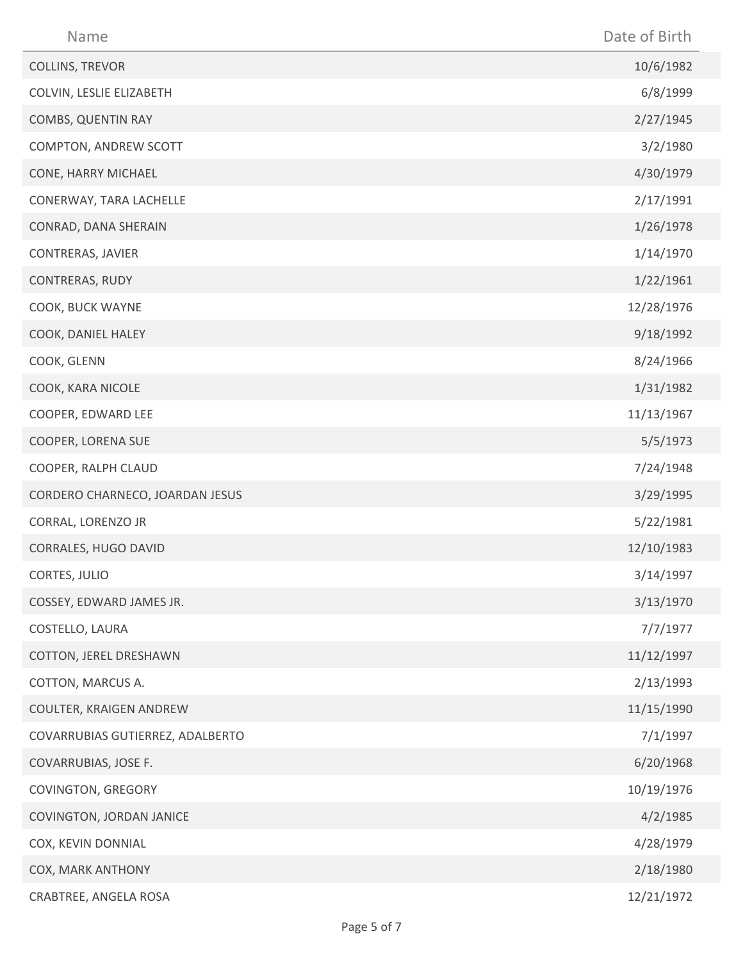| Name                             | Date of Birth |
|----------------------------------|---------------|
| COLLINS, TREVOR                  | 10/6/1982     |
| COLVIN, LESLIE ELIZABETH         | 6/8/1999      |
| COMBS, QUENTIN RAY               | 2/27/1945     |
| COMPTON, ANDREW SCOTT            | 3/2/1980      |
| CONE, HARRY MICHAEL              | 4/30/1979     |
| CONERWAY, TARA LACHELLE          | 2/17/1991     |
| CONRAD, DANA SHERAIN             | 1/26/1978     |
| CONTRERAS, JAVIER                | 1/14/1970     |
| CONTRERAS, RUDY                  | 1/22/1961     |
| COOK, BUCK WAYNE                 | 12/28/1976    |
| COOK, DANIEL HALEY               | 9/18/1992     |
| COOK, GLENN                      | 8/24/1966     |
| COOK, KARA NICOLE                | 1/31/1982     |
| COOPER, EDWARD LEE               | 11/13/1967    |
| COOPER, LORENA SUE               | 5/5/1973      |
| COOPER, RALPH CLAUD              | 7/24/1948     |
| CORDERO CHARNECO, JOARDAN JESUS  | 3/29/1995     |
| CORRAL, LORENZO JR               | 5/22/1981     |
| CORRALES, HUGO DAVID             | 12/10/1983    |
| CORTES, JULIO                    | 3/14/1997     |
| COSSEY, EDWARD JAMES JR.         | 3/13/1970     |
| COSTELLO, LAURA                  | 7/7/1977      |
| COTTON, JEREL DRESHAWN           | 11/12/1997    |
| COTTON, MARCUS A.                | 2/13/1993     |
| COULTER, KRAIGEN ANDREW          | 11/15/1990    |
| COVARRUBIAS GUTIERREZ, ADALBERTO | 7/1/1997      |
| COVARRUBIAS, JOSE F.             | 6/20/1968     |
| COVINGTON, GREGORY               | 10/19/1976    |
| COVINGTON, JORDAN JANICE         | 4/2/1985      |
| COX, KEVIN DONNIAL               | 4/28/1979     |
| COX, MARK ANTHONY                | 2/18/1980     |
| CRABTREE, ANGELA ROSA            | 12/21/1972    |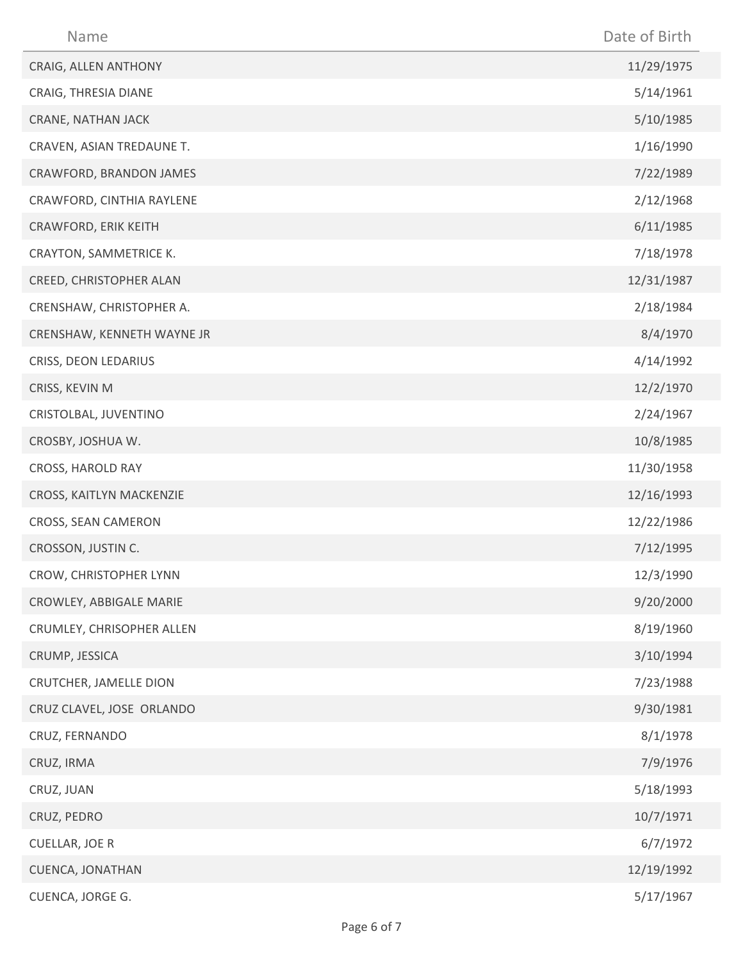| Name                       | Date of Birth |
|----------------------------|---------------|
| CRAIG, ALLEN ANTHONY       | 11/29/1975    |
| CRAIG, THRESIA DIANE       | 5/14/1961     |
| CRANE, NATHAN JACK         | 5/10/1985     |
| CRAVEN, ASIAN TREDAUNE T.  | 1/16/1990     |
| CRAWFORD, BRANDON JAMES    | 7/22/1989     |
| CRAWFORD, CINTHIA RAYLENE  | 2/12/1968     |
| CRAWFORD, ERIK KEITH       | 6/11/1985     |
| CRAYTON, SAMMETRICE K.     | 7/18/1978     |
| CREED, CHRISTOPHER ALAN    | 12/31/1987    |
| CRENSHAW, CHRISTOPHER A.   | 2/18/1984     |
| CRENSHAW, KENNETH WAYNE JR | 8/4/1970      |
| CRISS, DEON LEDARIUS       | 4/14/1992     |
| CRISS, KEVIN M             | 12/2/1970     |
| CRISTOLBAL, JUVENTINO      | 2/24/1967     |
| CROSBY, JOSHUA W.          | 10/8/1985     |
| CROSS, HAROLD RAY          | 11/30/1958    |
| CROSS, KAITLYN MACKENZIE   | 12/16/1993    |
| CROSS, SEAN CAMERON        | 12/22/1986    |
| CROSSON, JUSTIN C.         | 7/12/1995     |
| CROW, CHRISTOPHER LYNN     | 12/3/1990     |
| CROWLEY, ABBIGALE MARIE    | 9/20/2000     |
| CRUMLEY, CHRISOPHER ALLEN  | 8/19/1960     |
| CRUMP, JESSICA             | 3/10/1994     |
| CRUTCHER, JAMELLE DION     | 7/23/1988     |
| CRUZ CLAVEL, JOSE ORLANDO  | 9/30/1981     |
| CRUZ, FERNANDO             | 8/1/1978      |
| CRUZ, IRMA                 | 7/9/1976      |
| CRUZ, JUAN                 | 5/18/1993     |
| CRUZ, PEDRO                | 10/7/1971     |
| <b>CUELLAR, JOE R</b>      | 6/7/1972      |
| CUENCA, JONATHAN           | 12/19/1992    |
| CUENCA, JORGE G.           | 5/17/1967     |